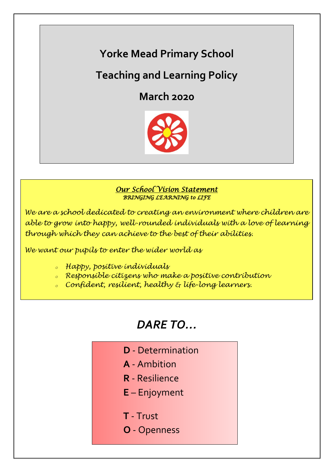# **Yorke Mead Primary School**

## **Teaching and Learning Policy**

**March 2020**



### *Our School Vision Statement BRINGING LEARNING to LIFE*

*We are a school dedicated to creating an environment where children are able to grow into happy, well-rounded individuals with a love of learning through which they can achieve to the best of their abilities.*

*We want our pupils to enter the wider world as*

- *<sup>o</sup> Happy, positive individuals*
- *<sup>o</sup> Responsible citizens who make a positive contribution*
- *<sup>o</sup> Confident, resilient, healthy & life-long learners.*

# *DARE TO…*

- **D** Determination
- **A** Ambition
- **R** Resilience
- **E** Enjoyment
- **T** Trust
- **O** Openness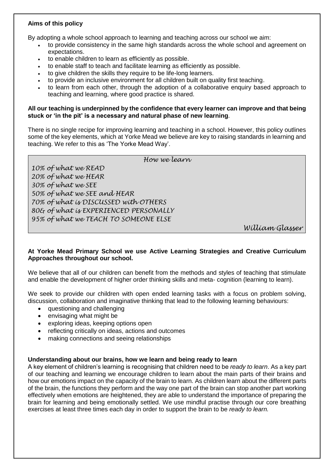### **Aims of this policy**

By adopting a whole school approach to learning and teaching across our school we aim:

- to provide consistency in the same high standards across the whole school and agreement on expectations.
- to enable children to learn as efficiently as possible.
- to enable staff to teach and facilitate learning as efficiently as possible.
- to give children the skills they require to be life-long learners.
- to provide an inclusive environment for all children built on quality first teaching.
- to learn from each other, through the adoption of a collaborative enquiry based approach to teaching and learning, where good practice is shared.

#### **All our teaching is underpinned by the confidence that every learner can improve and that being stuck or 'in the pit' is a necessary and natural phase of new learning**.

There is no single recipe for improving learning and teaching in a school. However, this policy outlines some of the key elements, which at Yorke Mead we believe are key to raising standards in learning and teaching. We refer to this as 'The Yorke Mead Way'.

*How we learn*

*10% of what we READ 20% of what we HEAR 30% of what we SEE 50% of what we SEE and HEAR 70% of what is DISCUSSED with OTHERS 80& of what is EXPERIENCED PERSONALLY 95% of what we TEACH TO SOMEONE ELSE*

*William Glasser*

#### **At Yorke Mead Primary School we use Active Learning Strategies and Creative Curriculum Approaches throughout our school.**

We believe that all of our children can benefit from the methods and styles of teaching that stimulate and enable the development of higher order thinking skills and meta- cognition (learning to learn).

We seek to provide our children with open ended learning tasks with a focus on problem solving, discussion, collaboration and imaginative thinking that lead to the following learning behaviours:

- questioning and challenging
- envisaging what might be
- exploring ideas, keeping options open
- reflecting critically on ideas, actions and outcomes
- making connections and seeing relationships

#### **Understanding about our brains, how we learn and being ready to learn**

A key element of children's learning is recognising that children need to be *ready to learn*. As a key part of our teaching and learning we encourage children to learn about the main parts of their brains and how our emotions impact on the capacity of the brain to learn. As children learn about the different parts of the brain, the functions they perform and the way one part of the brain can stop another part working effectively when emotions are heightened, they are able to understand the importance of preparing the brain for learning and being emotionally settled. We use mindful practise through our core breathing exercises at least three times each day in order to support the brain to be *ready to learn.*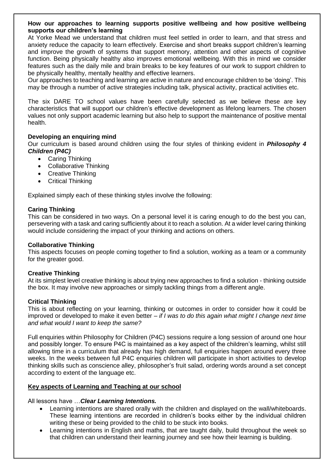#### **How our approaches to learning supports positive wellbeing and how positive wellbeing supports our children's learning**

At Yorke Mead we understand that children must feel settled in order to learn, and that stress and anxiety reduce the capacity to learn effectively. Exercise and short breaks support children's learning and improve the growth of systems that support memory, attention and other aspects of cognitive function. Being physically healthy also improves emotional wellbeing. With this in mind we consider features such as the daily mile and brain breaks to be key features of our work to support children to be physically healthy, mentally healthy and effective learners.

Our approaches to teaching and learning are active in nature and encourage children to be 'doing'. This may be through a number of active strategies including talk, physical activity, practical activities etc.

The six DARE TO school values have been carefully selected as we believe these are key characteristics that will support our children's effective development as lifelong learners. The chosen values not only support academic learning but also help to support the maintenance of positive mental health.

#### **Developing an enquiring mind**

Our curriculum is based around children using the four styles of thinking evident in *Philosophy 4 Children (P4C)*

- Caring Thinking
- Collaborative Thinking
- Creative Thinking
- Critical Thinking

Explained simply each of these thinking styles involve the following:

#### **Caring Thinking**

This can be considered in two ways. On a personal level it is caring enough to do the best you can, persevering with a task and caring sufficiently about it to reach a solution. At a wider level caring thinking would include considering the impact of your thinking and actions on others.

#### **Collaborative Thinking**

This aspects focuses on people coming together to find a solution, working as a team or a community for the greater good.

#### **Creative Thinking**

At its simplest level creative thinking is about trying new approaches to find a solution - thinking outside the box. It may involve new approaches or simply tackling things from a different angle.

#### **Critical Thinking**

This is about reflecting on your learning, thinking or outcomes in order to consider how it could be improved or developed to make it even better – *if I was to do this again what might I change next time and what would I want to keep the same?*

Full enquiries within Philosophy for Children (P4C) sessions require a long session of around one hour and possibly longer. To ensure P4C is maintained as a key aspect of the children's learning, whilst still allowing time in a curriculum that already has high demand, full enquiries happen around every three weeks. In the weeks between full P4C enquiries children will participate in short activities to develop thinking skills such as conscience alley, philosopher's fruit salad, ordering words around a set concept according to extent of the language etc.

#### **Key aspects of Learning and Teaching at our school**

All lessons have …*Clear Learning Intentions.*

- Learning intentions are shared orally with the children and displayed on the wall/whiteboards. These learning intentions are recorded in children's books either by the individual children writing these or being provided to the child to be stuck into books.
- Learning intentions in English and maths, that are taught daily, build throughout the week so that children can understand their learning journey and see how their learning is building.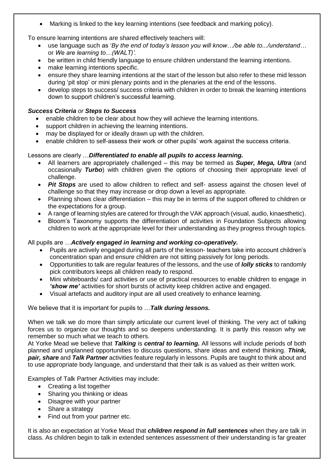Marking is linked to the key learning intentions (see feedback and marking policy).

To ensure learning intentions are shared effectively teachers will:

- use language such as '*By the end of today's lesson you will know…/be able to.../understand…* or *We are learning to…(WALT)'.*
- be written in child friendly language to ensure children understand the learning intentions.
- make learning intentions specific.
- ensure they share learning intentions at the start of the lesson but also refer to these mid lesson during 'pit stop' or mini plenary points and in the plenaries at the end of the lessons.
- develop steps to success/ success criteria with children in order to break the learning intentions down to support children's successful learning.

#### *Success Criteria or Steps to Success*

- enable children to be clear about how they will achieve the learning intentions.
- support children in achieving the learning intentions.
- may be displayed for or ideally drawn up with the children.
- enable children to self-assess their work or other pupils' work against the success criteria.

### Lessons are clearly …*Differentiated to enable all pupils to access learning.*

- All learners are appropriately challenged this may be termed as *Super, Mega, Ultra* (and occasionally *Turbo*) with children given the options of choosing their appropriate level of challenge.
- **Pit Stops** are used to allow children to reflect and self- assess against the chosen level of challenge so that they may increase or drop down a level as appropriate.
- Planning shows clear differentiation this may be in terms of the support offered to children or the expectations for a group.
- A range of learning styles are catered for through the VAK approach (visual, audio, kinaesthetic).
- Bloom's Taxonomy supports the differentiation of activities in Foundation Subjects allowing children to work at the appropriate level for their understanding as they progress through topics.

#### All pupils are …*Actively engaged in learning and working co-operatively.*

- Pupils are actively engaged during all parts of the lesson- teachers take into account children's concentration span and ensure children are not sitting passively for long periods.
- Opportunities to talk are regular features of the lessons, and the use of *lolly sticks* to randomly pick contributors keeps all children ready to respond.
- Mini whiteboards/ card activities or use of practical resources to enable children to engage in *'show me'* activities for short bursts of activity keep children active and engaged.
- Visual artefacts and auditory input are all used creatively to enhance learning.

We believe that it is important for pupils to …*Talk during lessons.*

When we talk we do more than simply articulate our current level of thinking. The very act of talking forces us to organize our thoughts and so deepens understanding. It is partly this reason why we remember so much what we teach to others.

At Yorke Mead we believe that *Talking* is *central to learning.* All lessons will include periods of both planned and unplanned opportunities to discuss questions, share ideas and extend thinking. *Think, pair, share* and *Talk Partner* activities feature regularly in lessons. Pupils are taught to think about and to use appropriate body language, and understand that their talk is as valued as their written work.

Examples of Talk Partner Activities may include:

- Creating a list together
- Sharing you thinking or ideas
- Disagree with your partner
- Share a strategy
- Find out from your partner etc.

It is also an expectation at Yorke Mead that *children respond in full sentences* when they are talk in class. As children begin to talk in extended sentences assessment of their understanding is far greater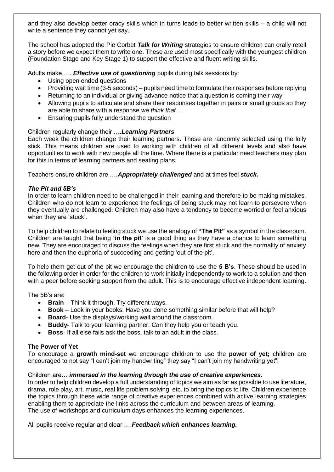and they also develop better oracy skills which in turns leads to better written skills – a child will not write a sentence they cannot yet say.

The school has adopted the Pie Corbet *Talk for Writing* strategies to ensure children can orally retell a story before we expect them to write one. These are used most specifically with the youngest children (Foundation Stage and Key Stage 1) to support the effective and fluent writing skills.

Adults make….. *Effective use of questioning* pupils during talk sessions by:

- Using open ended questions
- Providing wait time (3-5 seconds) pupils need time to formulate their responses before replying
- Returning to an individual or giving advance notice that a question is coming their way
- Allowing pupils to articulate and share their responses together in pairs or small groups so they are able to share with a response *we think that…*
- Ensuring pupils fully understand the question

#### Children regularly change their ….*Learning Partners*

Each week the children change their learning partners. These are randomly selected using the lolly stick. This means children are used to working with children of all different levels and also have opportunities to work with new people all the time. Where there is a particular need teachers may plan for this in terms of learning partners and seating plans.

Teachers ensure children are ….*Appropriately challenged* and at times feel *stuck.*

#### *The Pit and 5B's*

In order to learn children need to be challenged in their learning and therefore to be making mistakes. Children who do not learn to experience the feelings of being stuck may not learn to persevere when they eventually are challenged. Children may also have a tendency to become worried or feel anxious when they are 'stuck'.

To help children to relate to feeling stuck we use the analogy of **"The Pit"** as a symbol in the classroom. Children are taught that being **'in the pit'** is a good thing as they have a chance to learn something new. They are encouraged to discuss the feelings when they are first stuck and the normality of anxiety here and then the euphoria of succeeding and getting 'out of the pit'.

To help them get out of the pit we encourage the children to use the **5 B's**. These should be used in the following order in order for the children to work initially independently to work to a solution and then with a peer before seeking support from the adult. This is to encourage effective independent learning.

The 5B's are:

- **Brain**  Think it through. Try different ways.
- **Book**  Look in your books. Have you done something similar before that will help?
- **Board** Use the displays/working wall around the classroom.
- **Buddy** Talk to your learning partner. Can they help you or teach you.
- **Boss** If all else fails ask the boss, talk to an adult in the class.

#### **The Power of Yet**

To encourage a **growth mind-set** we encourage children to use the **power of yet;** children are encouraged to not say "I can't join my handwriting" they say "I can't join my handwriting yet"!

#### Children are… *immersed in the learning through the use of creative experiences.*

In order to help children develop a full understanding of topics we aim as far as possible to use literature, drama, role play, art, music, real life problem solving etc. to bring the topics to life. Children experience the topics through these wide range of creative experiences combined with active learning strategies enabling them to appreciate the links across the curriculum and between areas of learning. The use of workshops and curriculum days enhances the learning experiences.

All pupils receive regular and clear ….*Feedback which enhances learning.*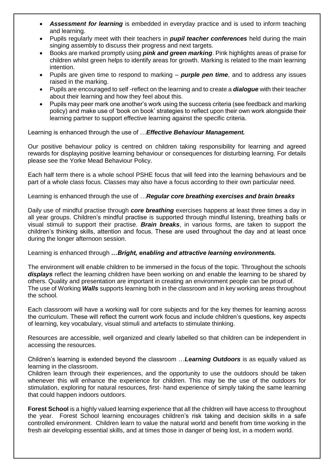- *Assessment for learning* is embedded in everyday practice and is used to inform teaching and learning.
- Pupils regularly meet with their teachers in *pupil teacher conferences* held during the main singing assembly to discuss their progress and next targets.
- Books are marked promptly using *pink and green marking*. Pink highlights areas of praise for children whilst green helps to identify areas for growth. Marking is related to the main learning intention.
- Pupils are given time to respond to marking *purple pen time*, and to address any issues raised in the marking.
- Pupils are encouraged to self -reflect on the learning and to create a *dialogue* with their teacher about their learning and how they feel about this.
- Pupils may peer mark one another's work using the success criteria (see feedback and marking policy) and make use of 'book on book' strategies to reflect upon their own work alongside their learning partner to support effective learning against the specific criteria.

Learning is enhanced through the use of …*Effective Behaviour Management.*

Our positive behaviour policy is centred on children taking responsibility for learning and agreed rewards for displaying positive learning behaviour or consequences for disturbing learning. For details please see the Yorke Mead Behaviour Policy.

Each half term there is a whole school PSHE focus that will feed into the learning behaviours and be part of a whole class focus. Classes may also have a focus according to their own particular need.

Learning is enhanced through the use of …*Regular core breathing exercises and brain breaks*

Daily use of mindful practise through *core breathing* exercises happens at least three times a day in all year groups. Children's mindful practise is supported through mindful listening, breathing balls or visual stimuli to support their practise. *Brain breaks*, in various forms, are taken to support the children's thinking skills, attention and focus. These are used throughout the day and at least once during the longer afternoon session.

Learning is enhanced through *…Bright, enabling and attractive learning environments.*

The environment will enable children to be immersed in the focus of the topic. Throughout the schools *displays* reflect the learning children have been working on and enable the learning to be shared by others. Quality and presentation are important in creating an environment people can be proud of. The use of Working *Walls* supports learning both in the classroom and in key working areas throughout the school.

Each classroom will have a working wall for core subjects and for the key themes for learning across the curriculum. These will reflect the current work focus and include children's questions, key aspects of learning, key vocabulary, visual stimuli and artefacts to stimulate thinking.

Resources are accessible, well organized and clearly labelled so that children can be independent in accessing the resources.

Children's learning is extended beyond the classroom …*Learning Outdoors* is as equally valued as learning in the classroom.

Children learn through their experiences, and the opportunity to use the outdoors should be taken whenever this will enhance the experience for children. This may be the use of the outdoors for stimulation, exploring for natural resources, first- hand experience of simply taking the same learning that could happen indoors outdoors.

**Forest School** is a highly valued learning experience that all the children will have access to throughout the year. Forest School learning encourages children's risk taking and decision skills in a safe controlled environment. Children learn to value the natural world and benefit from time working in the fresh air developing essential skills, and at times those in danger of being lost, in a modern world.